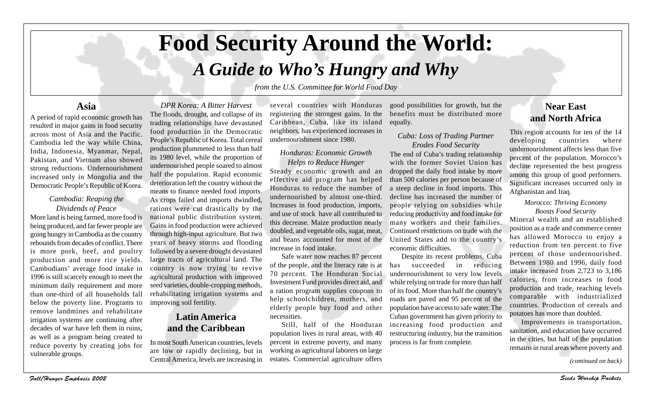# **Food Security Around the World:**

# *A Guide to Who's Hungry and Why*

*from the U.S. Committee for World Food Day*

### **Asia**

A period of rapid economic growth has resulted in major gains in food security across most of Asia and the Pacific. Cambodia led the way while China, India, Indonesia, Myanmar, Nepal, Pakistan, and Vietnam also showed strong reductions. Undernourishment increased only in Mongolia and the Democratic People's Republic of Korea.

#### *Cambodia: Reaping the Dividends of Peace*

More land is being farmed, more food is being produced, and far fewer people are going hungry in Cambodia as the country rebounds from decades of conflict. There is more pork, beef, and poultry production and more rice yields. Cambodians' average food intake in 1996 is still scarcely enough to meet the minimum daily requirement and more than one-third of all households fall below the poverty line. Programs to remove landmines and rehabilitate irrigation systems are continuing after decades of war have left them in ruins, as well as a program being created to reduce poverty by creating jobs for vulnerable groups.

The floods, drought, and collapse of its trading relationships have devastated food production in the Democratic People's Republic of Korea. Total cereal production plummeted to less than half its 1980 level, while the proportion of undernourished people soared to almost half the population. Rapid economic deterioration left the country without the means to finance needed food imports. As crops failed and imports dwindled, rations were cut drastically by the national public distribution system. Gains in food production were achieved through high-input agriculture. But two years of heavy storms and flooding followed by a severe drought devastated large tracts of agricultural land. The country is now trying to revive agricultural production with improved seed varieties, double-cropping methods, rehabilitating irrigation systems and improving soil fertility.

*DPR Korea: A Bitter Harvest*

## **Latin America and the Caribbean**

In most South American countries, levels are low or rapidly declining, but in Central America, levels are increasing in

several countries with Honduras registering the strongest gains. In the Caribbean, Cuba, like its island neighbors, has experienced increases in undernourishment since 1980.

#### *Honduras: Economic Growth Helps to Reduce Hunger*

Steady economic growth and an effective aid program has helped Honduras to reduce the number of undernourished by almost one-third. Increases in food production, imports, and use of stock have all contributed to this decrease. Maize production nearly doubled, and vegetable oils, sugar, meat, and beans accounted for most of the increase in food intake.

Safe water now reaches 87 percent of the people, and the literacy rate is at 70 percent. The Honduran Social Investment Fund provides direct aid, and a ration program supplies coupons to help schoolchildren, mothers, and elderly people buy food and other necessities.

Still, half of the Honduran population lives in rural areas, with 40 percent in extreme poverty, and many working as agricultural laborers on large estates. Commercial agriculture offers

good possibilities for growth, but the benefits must be distributed more equally.

#### *Cuba: Loss of Trading Partner Erodes Food Security*

The end of Cuba's trading relationship with the former Soviet Union has dropped the daily food intake by more than 500 calories per person because of a steep decline in food imports. This decline has increased the number of people relying on subsidies while reducing productivity and food intake for many workers and their families. Continued restrictions on trade with the United States add to the country's economic difficulties.

Despite its recent problems, Cuba has succeeded in reducing undernourishment to very low levels while relying on trade for more than half of its food. More than half the country's roads are paved and 95 percent of the population have access to safe water. The Cuban government has given priority to increasing food production and restructuring industry, but the transition process is far from complete.

# **Near East and North Africa**

This region accounts for ten of the 14 developing countries where undernourishment affects less than five percent of the population. Morocco's decline represented the best progress among this group of good performers. Significant increases occurred only in Afghanistan and Iraq.

#### *Morocco: Thriving Economy Boosts Food Security*

Mineral wealth and an established position as a trade and commerce center has allowed Morocco to enjoy a reduction from ten percent to five percent of those undernourished. Between 1980 and 1996, daily food intake increased from 2,723 to 3,186 calories, from increases in food production and trade, reaching levels comparable with industrialized countries. Production of cereals and potatoes has more than doubled.

Improvements in transportation, sanitation, and education have occurred in the cities, but half of the population remains in rural areas where poverty and

*(continued on back)*